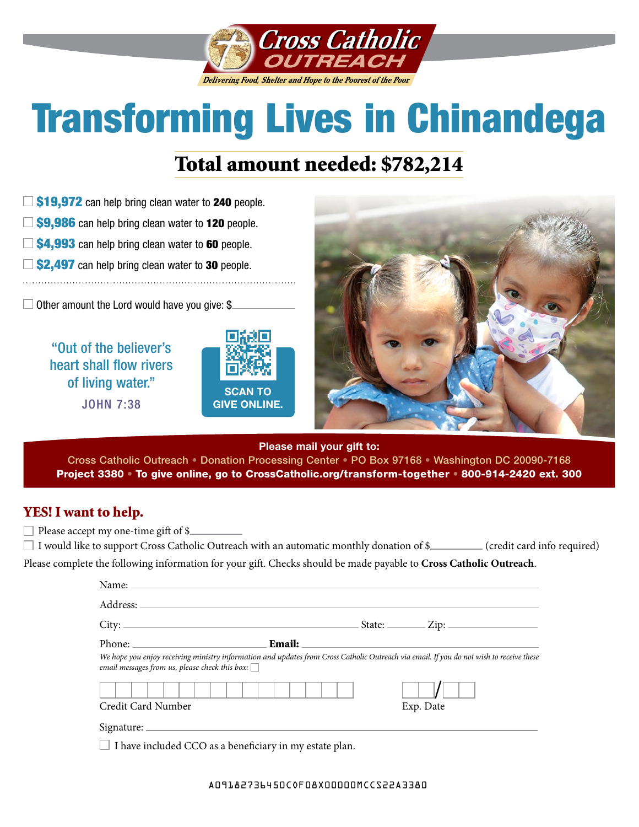

# Transforming Lives in Chinandega

## Total amount needed: \$782,214

- $\Box$  \$19,972 can help bring clean water to 240 people.
- $\Box$  \$9,986 can help bring clean water to 120 people.
- $\Box$  \$4,993 can help bring clean water to 60 people.
- $\Box$  \$2,497 can help bring clean water to 30 people.

 $\Box$  Other amount the Lord would have you give: \$

"Out of the believer's heart shall flow rivers of living water." JOHN 7:38





**Please mail your gift to:**

Cross Catholic Outreach • Donation Processing Center • PO Box 97168 • Washington DC 20090-7168 Project 3380 • To give online, go to [CrossCatholic.org/transform-together](http://CrossCatholic.org/transform-together) • 800-914-2420 ext. 300

#### YES! I want to help.

 $\Box$  Please accept my one-time gift of \$ $\Box$ 

| $\Box$ I would like to support Cross Catholic Outreach with an automatic monthly donation of \$                    | (credit card info required) |
|--------------------------------------------------------------------------------------------------------------------|-----------------------------|
| Please complete the following information for your gift. Checks should be made payable to Cross Catholic Outreach. |                             |

| Name: Name and the second contract of the second contract of the second contract of the second contract of the second contract of the second contract of the second contract of the second contract of the second contract of |                                                                                                                                          |
|-------------------------------------------------------------------------------------------------------------------------------------------------------------------------------------------------------------------------------|------------------------------------------------------------------------------------------------------------------------------------------|
|                                                                                                                                                                                                                               |                                                                                                                                          |
|                                                                                                                                                                                                                               | $\text{State:}$ $\qquad \qquad \text{Zip:}$                                                                                              |
| <b>Email:</b>                                                                                                                                                                                                                 |                                                                                                                                          |
| email messages from us, please check this box: $\Box$                                                                                                                                                                         | We hope you enjoy receiving ministry information and updates from Cross Catholic Outreach via email. If you do not wish to receive these |
|                                                                                                                                                                                                                               |                                                                                                                                          |
| Credit Card Number                                                                                                                                                                                                            | Exp. Date                                                                                                                                |
|                                                                                                                                                                                                                               |                                                                                                                                          |
| $\Box$ I have included CCO as a beneficiary in my estate plan.                                                                                                                                                                |                                                                                                                                          |